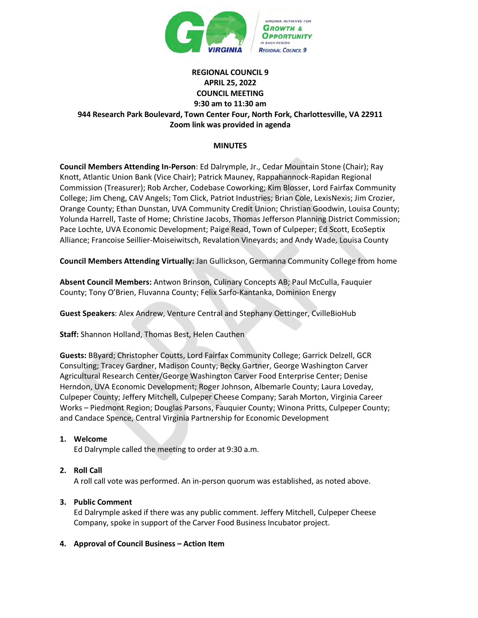

# **REGIONAL COUNCIL 9 APRIL 25, 2022 COUNCIL MEETING 9:30 am to 11:30 am 944 Research Park Boulevard, Town Center Four, North Fork, Charlottesville, VA 22911 Zoom link was provided in agenda**

# **MINUTES**

**Council Members Attending In-Person**: Ed Dalrymple, Jr., Cedar Mountain Stone (Chair); Ray Knott, Atlantic Union Bank (Vice Chair); Patrick Mauney, Rappahannock-Rapidan Regional Commission (Treasurer); Rob Archer, Codebase Coworking; Kim Blosser, Lord Fairfax Community College; Jim Cheng, CAV Angels; Tom Click, Patriot Industries; Brian Cole, LexisNexis; Jim Crozier, Orange County; Ethan Dunstan, UVA Community Credit Union; Christian Goodwin, Louisa County; Yolunda Harrell, Taste of Home; Christine Jacobs, Thomas Jefferson Planning District Commission; Pace Lochte, UVA Economic Development; Paige Read, Town of Culpeper; Ed Scott, EcoSeptix Alliance; Francoise Seillier-Moiseiwitsch, Revalation Vineyards; and Andy Wade, Louisa County

**Council Members Attending Virtually:** Jan Gullickson, Germanna Community College from home

**Absent Council Members:** Antwon Brinson, Culinary Concepts AB; Paul McCulla, Fauquier County; Tony O'Brien, Fluvanna County; Felix Sarfo-Kantanka, Dominion Energy

**Guest Speakers**: Alex Andrew, Venture Central and Stephany Oettinger, CvilleBioHub

**Staff:** Shannon Holland, Thomas Best, Helen Cauthen

**Guests:** BByard; Christopher Coutts, Lord Fairfax Community College; Garrick Delzell, GCR Consulting; Tracey Gardner, Madison County; Becky Gartner, George Washington Carver Agricultural Research Center/George Washington Carver Food Enterprise Center; Denise Herndon, UVA Economic Development; Roger Johnson, Albemarle County; Laura Loveday, Culpeper County; Jeffery Mitchell, Culpeper Cheese Company; Sarah Morton, Virginia Career Works – Piedmont Region; Douglas Parsons, Fauquier County; Winona Pritts, Culpeper County; and Candace Spence, Central Virginia Partnership for Economic Development

## **1. Welcome**

Ed Dalrymple called the meeting to order at 9:30 a.m.

## **2. Roll Call**

A roll call vote was performed. An in-person quorum was established, as noted above.

# **3. Public Comment**

Ed Dalrymple asked if there was any public comment. Jeffery Mitchell, Culpeper Cheese Company, spoke in support of the Carver Food Business Incubator project.

## **4. Approval of Council Business – Action Item**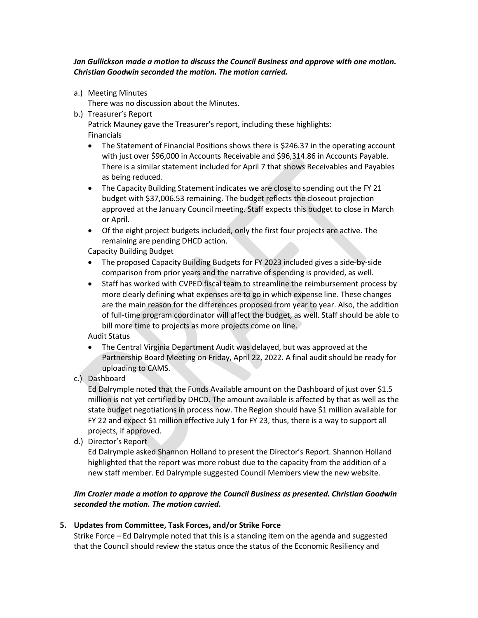*Jan Gullickson made a motion to discuss the Council Business and approve with one motion. Christian Goodwin seconded the motion. The motion carried.*

a.) Meeting Minutes

There was no discussion about the Minutes.

- b.) Treasurer's Report Patrick Mauney gave the Treasurer's report, including these highlights: Financials
	- The Statement of Financial Positions shows there is \$246.37 in the operating account with just over \$96,000 in Accounts Receivable and \$96,314.86 in Accounts Payable. There is a similar statement included for April 7 that shows Receivables and Payables as being reduced.
	- The Capacity Building Statement indicates we are close to spending out the FY 21 budget with \$37,006.53 remaining. The budget reflects the closeout projection approved at the January Council meeting. Staff expects this budget to close in March or April.
	- Of the eight project budgets included, only the first four projects are active. The remaining are pending DHCD action.

Capacity Building Budget

- The proposed Capacity Building Budgets for FY 2023 included gives a side-by-side comparison from prior years and the narrative of spending is provided, as well.
- Staff has worked with CVPED fiscal team to streamline the reimbursement process by more clearly defining what expenses are to go in which expense line. These changes are the main reason for the differences proposed from year to year. Also, the addition of full-time program coordinator will affect the budget, as well. Staff should be able to bill more time to projects as more projects come on line.

Audit Status

- The Central Virginia Department Audit was delayed, but was approved at the Partnership Board Meeting on Friday, April 22, 2022. A final audit should be ready for uploading to CAMS.
- c.) Dashboard

Ed Dalrymple noted that the Funds Available amount on the Dashboard of just over \$1.5 million is not yet certified by DHCD. The amount available is affected by that as well as the state budget negotiations in process now. The Region should have \$1 million available for FY 22 and expect \$1 million effective July 1 for FY 23, thus, there is a way to support all projects, if approved.

d.) Director's Report

Ed Dalrymple asked Shannon Holland to present the Director's Report. Shannon Holland highlighted that the report was more robust due to the capacity from the addition of a new staff member. Ed Dalrymple suggested Council Members view the new website.

# *Jim Crozier made a motion to approve the Council Business as presented. Christian Goodwin seconded the motion. The motion carried.*

# **5. Updates from Committee, Task Forces, and/or Strike Force**

Strike Force – Ed Dalrymple noted that this is a standing item on the agenda and suggested that the Council should review the status once the status of the Economic Resiliency and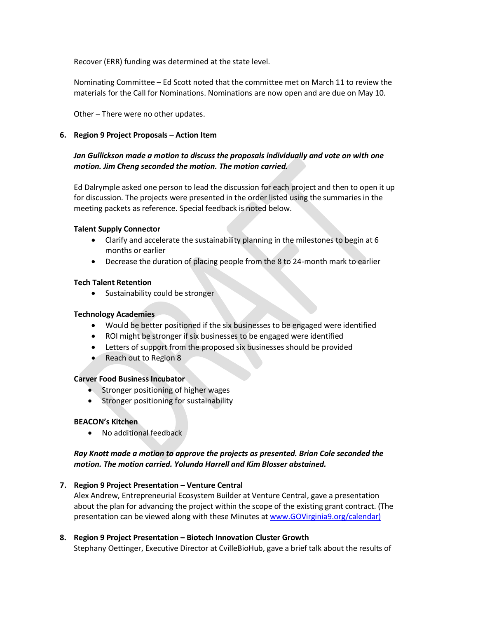Recover (ERR) funding was determined at the state level.

Nominating Committee – Ed Scott noted that the committee met on March 11 to review the materials for the Call for Nominations. Nominations are now open and are due on May 10.

Other – There were no other updates.

#### **6. Region 9 Project Proposals – Action Item**

# *Jan Gullickson made a motion to discuss the proposals individually and vote on with one motion. Jim Cheng seconded the motion. The motion carried.*

Ed Dalrymple asked one person to lead the discussion for each project and then to open it up for discussion. The projects were presented in the order listed using the summaries in the meeting packets as reference. Special feedback is noted below.

#### **Talent Supply Connector**

- Clarify and accelerate the sustainability planning in the milestones to begin at 6 months or earlier
- Decrease the duration of placing people from the 8 to 24-month mark to earlier

#### **Tech Talent Retention**

• Sustainability could be stronger

## **Technology Academies**

- Would be better positioned if the six businesses to be engaged were identified
- ROI might be stronger if six businesses to be engaged were identified
- Letters of support from the proposed six businesses should be provided
- Reach out to Region 8

#### **Carver Food Business Incubator**

- Stronger positioning of higher wages
- Stronger positioning for sustainability

## **BEACON's Kitchen**

• No additional feedback

# *Ray Knott made a motion to approve the projects as presented. Brian Cole seconded the motion. The motion carried. Yolunda Harrell and Kim Blosser abstained.*

## **7. Region 9 Project Presentation – Venture Central**

Alex Andrew, Entrepreneurial Ecosystem Builder at Venture Central, gave a presentation about the plan for advancing the project within the scope of the existing grant contract. (The presentation can be viewed along with these Minutes a[t www.GOVirginia9.org/calendar\)](http://www.govirginia9.org/calendar)

# **8. Region 9 Project Presentation – Biotech Innovation Cluster Growth**

Stephany Oettinger, Executive Director at CvilleBioHub, gave a brief talk about the results of